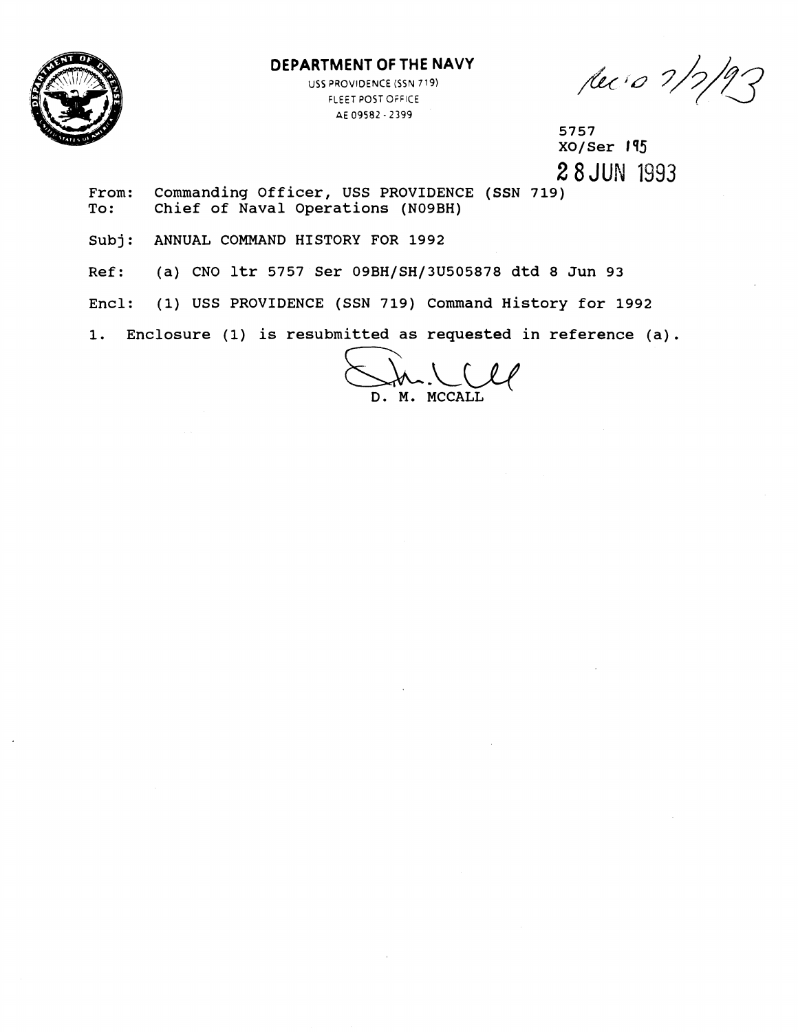

## **DEPARTMENT OF THE NAVY**

USS PROVIDENCE (SSN **719)**  FLEET POST OFFICE Ai 09582 - **2399** 

lec's 1/2/93

5757  $XO/SET$  195 **2** 8JUN 1993

From: Commanding Officer, USS PROVIDENCE (SSN 719)<br>To: Chief of Naval Operations (N09BH) Chief of Naval Operations (N09BH)

Subj: ANNUAL COMMAND HISTORY FOR 1992

Ref: (a) CNO ltr 5757 Ser 09BH/SH/3U505878 dtd 8 Jun 93

Encl: (1) USS PROVIDENCE (SSN 719) Command History for 1992

1. Enclosure (1) is resubmitted as requested in reference (a).

D. M. MCCALL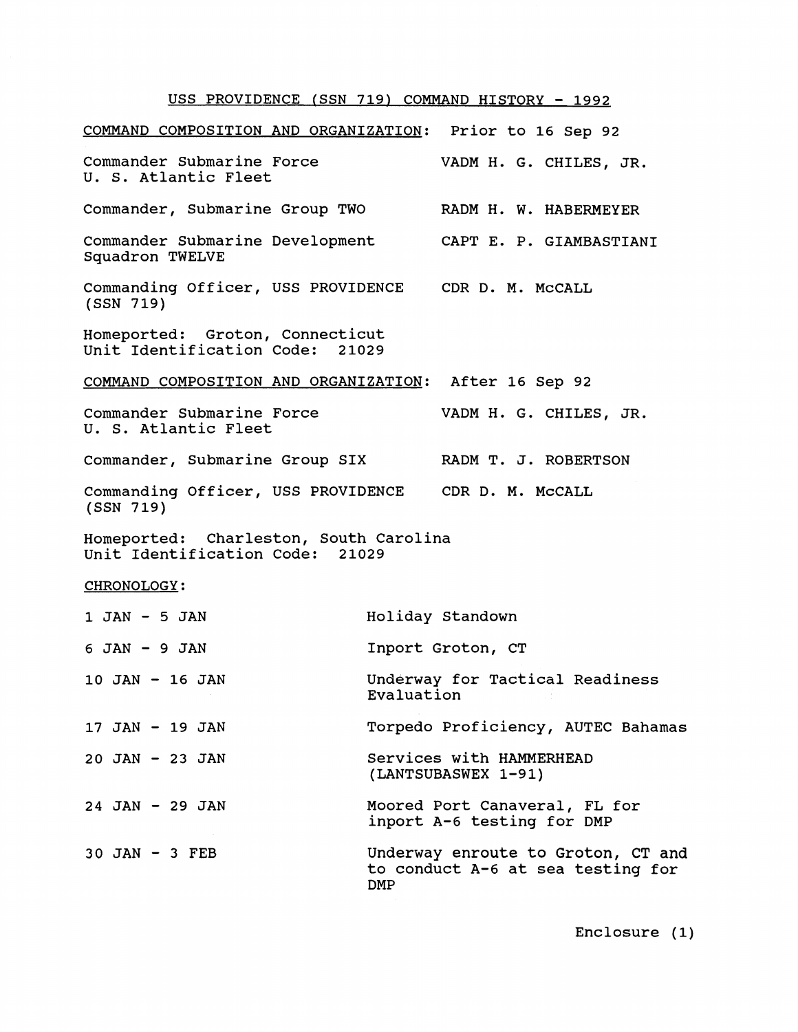## USS PROVIDENCE (SSN 719) COMMAND HISTORY - 1992

| COMMAND COMPOSITION AND ORGANIZATION: Prior to 16 Sep 92                  |                                                                                       |
|---------------------------------------------------------------------------|---------------------------------------------------------------------------------------|
| Commander Submarine Force<br>U. S. Atlantic Fleet                         | VADM H. G. CHILES, JR.                                                                |
| Commander, Submarine Group TWO                                            | RADM H. W. HABERMEYER                                                                 |
| Squadron TWELVE                                                           | Commander Submarine Development CAPT E. P. GIAMBASTIANI                               |
| Commanding Officer, USS PROVIDENCE CDR D. M. McCALL<br>(SSN 719)          |                                                                                       |
| Homeported: Groton, Connecticut<br>Unit Identification Code: 21029        |                                                                                       |
| COMMAND COMPOSITION AND ORGANIZATION: After 16 Sep 92                     |                                                                                       |
| Commander Submarine Force<br>U. S. Atlantic Fleet                         | VADM H. G. CHILES, JR.                                                                |
| Commander, Submarine Group SIX RADM T. J. ROBERTSON                       |                                                                                       |
| Commanding Officer, USS PROVIDENCE CDR D. M. McCALL<br>(SSN 719)          |                                                                                       |
| Homeported: Charleston, South Carolina<br>Unit Identification Code: 21029 |                                                                                       |
| CHRONOLOGY:                                                               |                                                                                       |
| $1$ JAN - 5 JAN                                                           | Holiday Standown                                                                      |
| $6$ JAN $-$ 9 JAN                                                         | Inport Groton, CT                                                                     |
| 10 JAN - 16 JAN                                                           | Underway for Tactical Readiness<br>Evaluation                                         |
| 17 JAN - 19 JAN                                                           | Torpedo Proficiency, AUTEC Bahamas                                                    |
| $20$ JAN - 23 JAN                                                         | Services with HAMMERHEAD<br>(LANTSUBASWEX 1-91)                                       |
| $24$ JAN - 29 JAN                                                         | Moored Port Canaveral, FL for<br>inport A-6 testing for DMP                           |
| $30$ JAN - 3 FEB                                                          | Underway enroute to Groton, CT and<br>to conduct A-6 at sea testing for<br><b>DMP</b> |

Enclosure (1)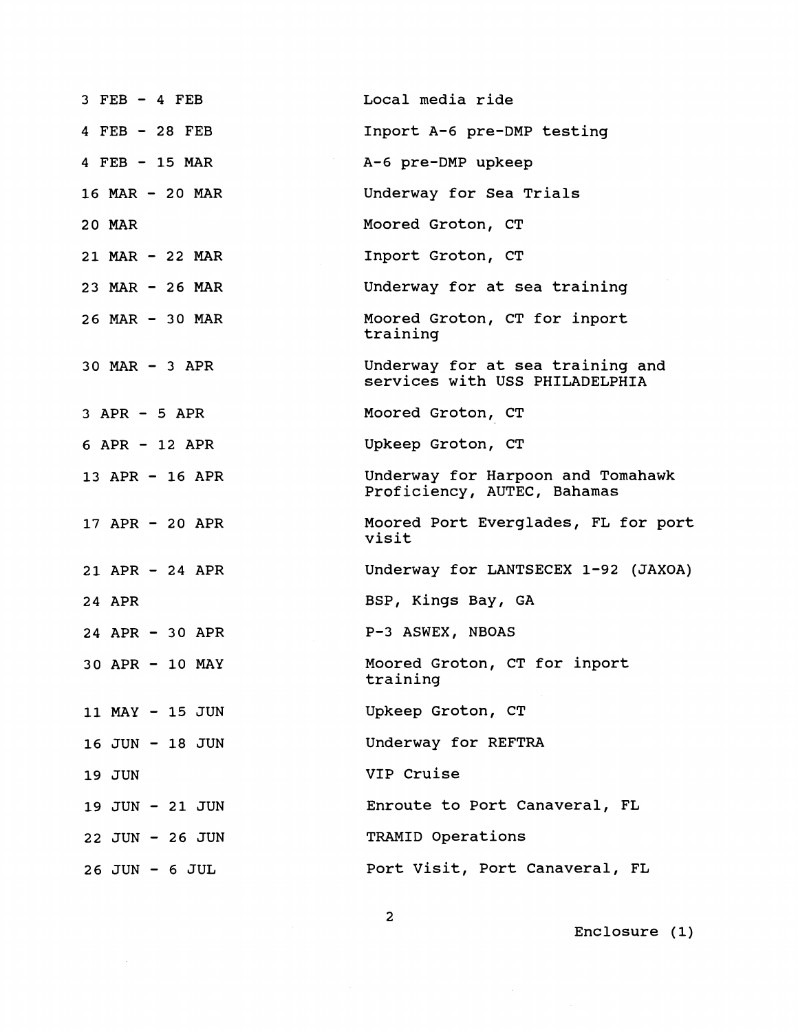| $3$ FEB $-4$ FEB   | Local media ride                                                   |
|--------------------|--------------------------------------------------------------------|
| 4 FEB - 28 FEB     | Inport A-6 pre-DMP testing                                         |
| 4 $FEB$ - 15 MAR   | A-6 pre-DMP upkeep                                                 |
| 16 MAR - 20 MAR    | Underway for Sea Trials                                            |
| 20 MAR             | Moored Groton, CT                                                  |
| 21 MAR - 22 MAR    | Inport Groton, CT                                                  |
| $23$ MAR - 26 MAR  | Underway for at sea training                                       |
| 26 MAR - 30 MAR    | Moored Groton, CT for inport<br>training                           |
| $30$ MAR $-$ 3 APR | Underway for at sea training and<br>services with USS PHILADELPHIA |
| $3$ APR $-$ 5 APR  | Moored Groton, CT                                                  |
| $6$ APR - 12 APR   | Upkeep Groton, CT                                                  |
| 13 APR - 16 APR    | Underway for Harpoon and Tomahawk<br>Proficiency, AUTEC, Bahamas   |
| 17 APR - 20 APR    | Moored Port Everglades, FL for port<br>visit                       |
| $21$ APR - 24 APR  | Underway for LANTSECEX 1-92 (JAXOA)                                |
| 24 APR             | BSP, Kings Bay, GA                                                 |
| 24 APR $-$ 30 APR  | P-3 ASWEX, NBOAS                                                   |
| 30 APR - 10 MAY    | Moored Groton, CT for inport<br>training                           |
| 11 MAY - 15 JUN    | Upkeep Groton, CT                                                  |
| 16 JUN - 18 JUN    | Underway for REFTRA                                                |
| 19 JUN             | VIP Cruise                                                         |
| 19 JUN - 21 JUN    | Enroute to Port Canaveral, FL                                      |
| 22 JUN - 26 JUN    | TRAMID Operations                                                  |
| $26$ JUN - $6$ JUL | Port Visit, Port Canaveral, FL                                     |

Enclosure **(1)** 

**2**